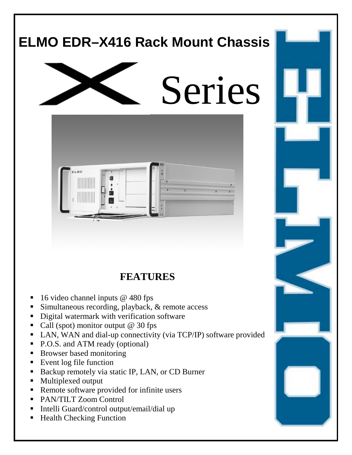# **ELMO EDR–X416 Rack Mount Chassis**  Series **LMO**

**FEATURES** 

- 16 video channel inputs @ 480 fps
- Simultaneous recording, playback, & remote access
- ! Digital watermark with verification software
- Call (spot) monitor output  $@$  30 fps
- ! LAN, WAN and dial-up connectivity (via TCP/IP) software provided
- P.O.S. and ATM ready (optional)
- **EXECUTE:** Browser based monitoring
- **Exent log file function**
- ! Backup remotely via static IP, LAN, or CD Burner
- ! Multiplexed output
- ! Remote software provided for infinite users
- ! PAN/TILT Zoom Control
- ! Intelli Guard/control output/email/dial up
- Health Checking Function